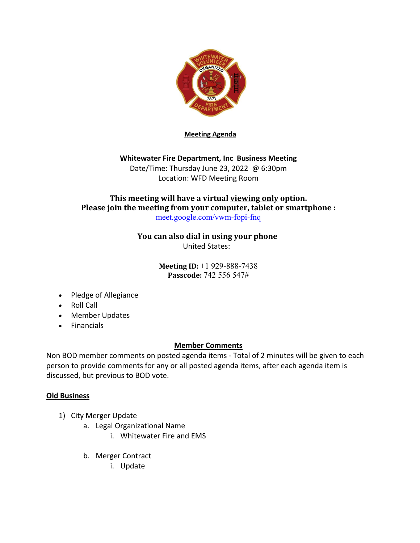

**Meeting Agenda**

## **Whitewater Fire Department, Inc Business Meeting**

Date/Time: Thursday June 23, 2022 @ 6:30pm Location: WFD Meeting Room

## This meeting will have a virtual viewing only option. **Please join the meeting from your computer, tablet or smartphone :** meet.google.com/vwm-fopi-fnq

**You can also dial in using your phone** United States:

> **Meeting ID:** +1 929-888-7438 **Passcode:** 742 556 547#

- Pledge of Allegiance
- Roll Call
- Member Updates
- Financials

## **Member Comments**

Non BOD member comments on posted agenda items - Total of 2 minutes will be given to each person to provide comments for any or all posted agenda items, after each agenda item is discussed, but previous to BOD vote.

## **Old Business**

- 1) City Merger Update
	- a. Legal Organizational Name
		- i. Whitewater Fire and EMS
	- b. Merger Contract
		- i. Update